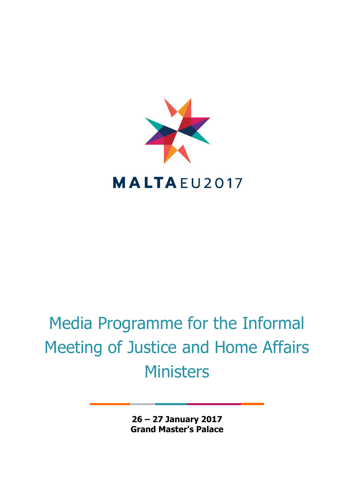

## Media Programme for the Informal Meeting of Justice and Home Affairs **Ministers**

**26 – 27 January 2017 Grand Master's Palace**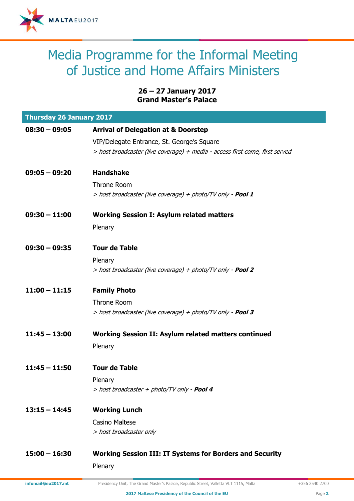

## Media Programme for the Informal Meeting of Justice and Home Affairs Ministers

## **26 – 27 January 2017 Grand Master's Palace**

| <b>Thursday 26 January 2017</b> |                                                                              |  |
|---------------------------------|------------------------------------------------------------------------------|--|
| $08:30 - 09:05$                 | <b>Arrival of Delegation at &amp; Doorstep</b>                               |  |
|                                 | VIP/Delegate Entrance, St. George's Square                                   |  |
|                                 | > host broadcaster (live coverage) + media - access first come, first served |  |
| $09:05 - 09:20$                 | <b>Handshake</b>                                                             |  |
|                                 | <b>Throne Room</b>                                                           |  |
|                                 | > host broadcaster (live coverage) + photo/TV only - <b>Pool 1</b>           |  |
| $09:30 - 11:00$                 | <b>Working Session I: Asylum related matters</b>                             |  |
|                                 | Plenary                                                                      |  |
| $09:30 - 09:35$                 | <b>Tour de Table</b>                                                         |  |
|                                 | Plenary                                                                      |  |
|                                 | > host broadcaster (live coverage) + photo/TV only - <b>Pool 2</b>           |  |
| $11:00 - 11:15$                 | <b>Family Photo</b>                                                          |  |
|                                 | <b>Throne Room</b>                                                           |  |
|                                 | > host broadcaster (live coverage) + photo/TV only - <b>Pool 3</b>           |  |
| $11:45 - 13:00$                 | <b>Working Session II: Asylum related matters continued</b>                  |  |
|                                 | Plenary                                                                      |  |
| $11:45 - 11:50$                 | <b>Tour de Table</b>                                                         |  |
|                                 | Plenary                                                                      |  |
|                                 | > host broadcaster + photo/TV only - <b>Pool 4</b>                           |  |
| $13:15 - 14:45$                 | <b>Working Lunch</b>                                                         |  |
|                                 | <b>Casino Maltese</b>                                                        |  |
|                                 | > host broadcaster only                                                      |  |
| $15:00 - 16:30$                 | <b>Working Session III: IT Systems for Borders and Security</b>              |  |
|                                 | Plenary                                                                      |  |

**infomail@eu2017.mt** Presidency Unit, The Grand Master's Palace, Republic Street, Valletta VLT 1115, Malta +356 2540 2700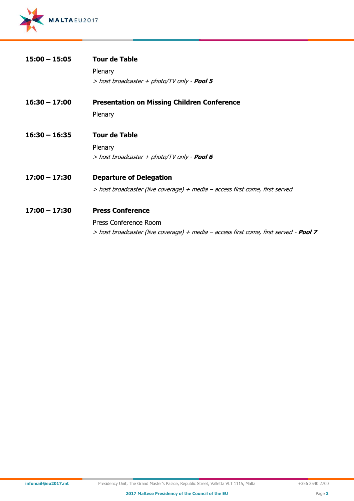

| $15:00 - 15:05$ | <b>Tour de Table</b>                                                                         |
|-----------------|----------------------------------------------------------------------------------------------|
|                 | Plenary                                                                                      |
|                 | > host broadcaster + photo/TV only - <b>Pool 5</b>                                           |
| $16:30 - 17:00$ | <b>Presentation on Missing Children Conference</b>                                           |
|                 | Plenary                                                                                      |
| $16:30 - 16:35$ | <b>Tour de Table</b>                                                                         |
|                 | Plenary                                                                                      |
|                 | > host broadcaster + photo/TV only - <b>Pool 6</b>                                           |
| $17:00 - 17:30$ | <b>Departure of Delegation</b>                                                               |
|                 | > host broadcaster (live coverage) + media - access first come, first served                 |
| $17:00 - 17:30$ | <b>Press Conference</b>                                                                      |
|                 | Press Conference Room                                                                        |
|                 | > host broadcaster (live coverage) + media – access first come, first served - <b>Pool 7</b> |
|                 |                                                                                              |